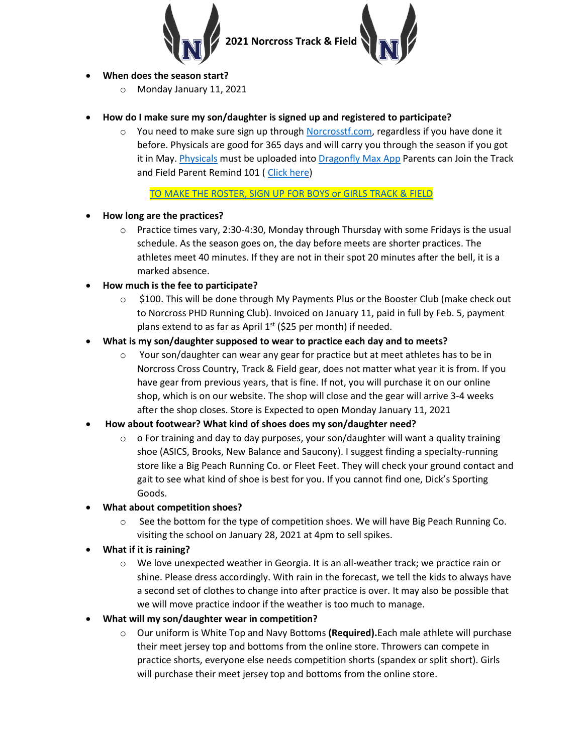

### **When does the season start?**

o Monday January 11, 2021

# **How do I make sure my son/daughter is signed up and registered to participate?**

 $\circ$  You need to make sure sign up through [Norcrosstf.com,](https://www.norcrosstf.com/) regardless if you have done it before. Physicals are good for 365 days and will carry you through the season if you got it in May. [Physicals](https://drive.google.com/file/d/1NMiV1QKbhZQ9xo0C5gslhaB3xxFN90Bj/view) must be uploaded int[o Dragonfly Max App](https://www.dragonflymax.com/) Parents can Join the Track and Field Parent Remind 101 ( [Click here\)](https://www.remind.com/join/nhstf2021p)

## [TO MAKE THE ROSTER, SIGN UP FOR BOYS or GIRLS TRACK & FIELD](https://docs.google.com/forms/d/e/1FAIpQLSercq3-jPxlnDjp7qMZdTiVWJZmRnt7cm4DbEQDniwUCFX3aw/viewform)

- **How long are the practices?**
	- $\circ$  Practice times vary, 2:30-4:30, Monday through Thursday with some Fridays is the usual schedule. As the season goes on, the day before meets are shorter practices. The athletes meet 40 minutes. If they are not in their spot 20 minutes after the bell, it is a marked absence.
- **How much is the fee to participate?**
	- o \$100. This will be done through My Payments Plus or the Booster Club (make check out to Norcross PHD Running Club). Invoiced on January 11, paid in full by Feb. 5, payment plans extend to as far as April  $1<sup>st</sup>$  (\$25 per month) if needed.
- **What is my son/daughter supposed to wear to practice each day and to meets?**
	- $\circ$  Your son/daughter can wear any gear for practice but at meet athletes has to be in Norcross Cross Country, Track & Field gear, does not matter what year it is from. If you have gear from previous years, that is fine. If not, you will purchase it on our online shop, which is on our website. The shop will close and the gear will arrive 3-4 weeks after the shop closes. Store is Expected to open Monday January 11, 2021
- **How about footwear? What kind of shoes does my son/daughter need?**
	- $\circ$  o For training and day to day purposes, your son/daughter will want a quality training shoe (ASICS, Brooks, New Balance and Saucony). I suggest finding a specialty-running store like a Big Peach Running Co. or Fleet Feet. They will check your ground contact and gait to see what kind of shoe is best for you. If you cannot find one, Dick's Sporting Goods.
- **What about competition shoes?**
	- $\circ$  See the bottom for the type of competition shoes. We will have Big Peach Running Co. visiting the school on January 28, 2021 at 4pm to sell spikes.
- **What if it is raining?**
	- $\circ$  We love unexpected weather in Georgia. It is an all-weather track; we practice rain or shine. Please dress accordingly. With rain in the forecast, we tell the kids to always have a second set of clothes to change into after practice is over. It may also be possible that we will move practice indoor if the weather is too much to manage.
- **What will my son/daughter wear in competition?**
	- o Our uniform is White Top and Navy Bottoms **(Required).**Each male athlete will purchase their meet jersey top and bottoms from the online store. Throwers can compete in practice shorts, everyone else needs competition shorts (spandex or split short). Girls will purchase their meet jersey top and bottoms from the online store.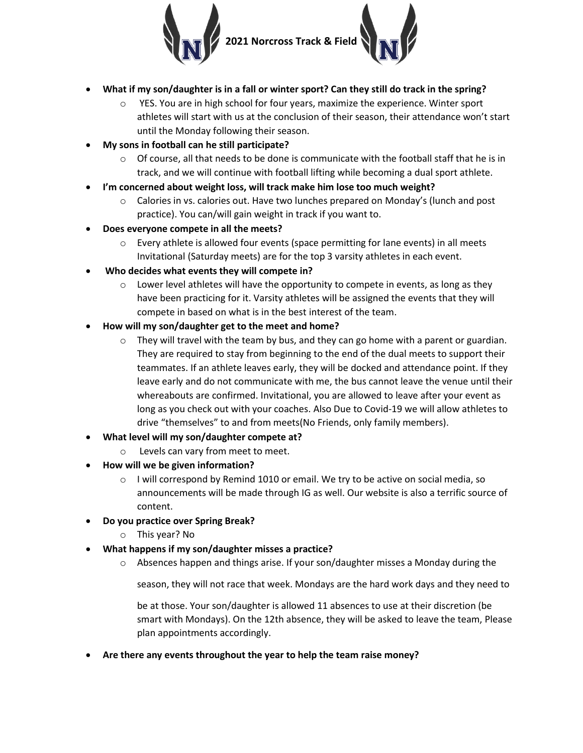

- **What if my son/daughter is in a fall or winter sport? Can they still do track in the spring?**
	- $\circ$  YES. You are in high school for four years, maximize the experience. Winter sport athletes will start with us at the conclusion of their season, their attendance won't start until the Monday following their season.
- **My sons in football can he still participate?** 
	- $\circ$  Of course, all that needs to be done is communicate with the football staff that he is in track, and we will continue with football lifting while becoming a dual sport athlete.
- **I'm concerned about weight loss, will track make him lose too much weight?**
	- $\circ$  Calories in vs. calories out. Have two lunches prepared on Monday's (lunch and post practice). You can/will gain weight in track if you want to.
- **Does everyone compete in all the meets?**
	- $\circ$  Every athlete is allowed four events (space permitting for lane events) in all meets Invitational (Saturday meets) are for the top 3 varsity athletes in each event.
- **Who decides what events they will compete in?**
	- $\circ$  Lower level athletes will have the opportunity to compete in events, as long as they have been practicing for it. Varsity athletes will be assigned the events that they will compete in based on what is in the best interest of the team.
- **How will my son/daughter get to the meet and home?**
	- $\circ$  They will travel with the team by bus, and they can go home with a parent or guardian. They are required to stay from beginning to the end of the dual meets to support their teammates. If an athlete leaves early, they will be docked and attendance point. If they leave early and do not communicate with me, the bus cannot leave the venue until their whereabouts are confirmed. Invitational, you are allowed to leave after your event as long as you check out with your coaches. Also Due to Covid-19 we will allow athletes to drive "themselves" to and from meets(No Friends, only family members).
- **What level will my son/daughter compete at?**
	- o Levels can vary from meet to meet.
- **How will we be given information?**
	- $\circ$  I will correspond by Remind 1010 or email. We try to be active on social media, so announcements will be made through IG as well. Our website is also a terrific source of content.
- **Do you practice over Spring Break?**
	- o This year? No
- **What happens if my son/daughter misses a practice?**
	- $\circ$  Absences happen and things arise. If your son/daughter misses a Monday during the

season, they will not race that week. Mondays are the hard work days and they need to

be at those. Your son/daughter is allowed 11 absences to use at their discretion (be smart with Mondays). On the 12th absence, they will be asked to leave the team, Please plan appointments accordingly.

**Are there any events throughout the year to help the team raise money?**